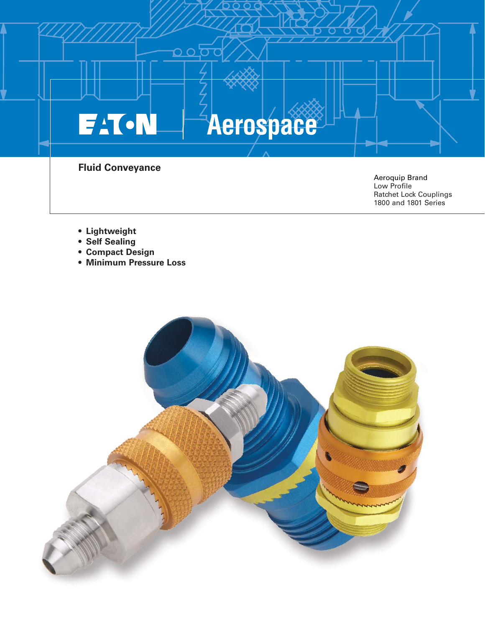

- **Lightweight**
- **Self Sealing**
- **Compact Design**
- **Minimum Pressure Loss**

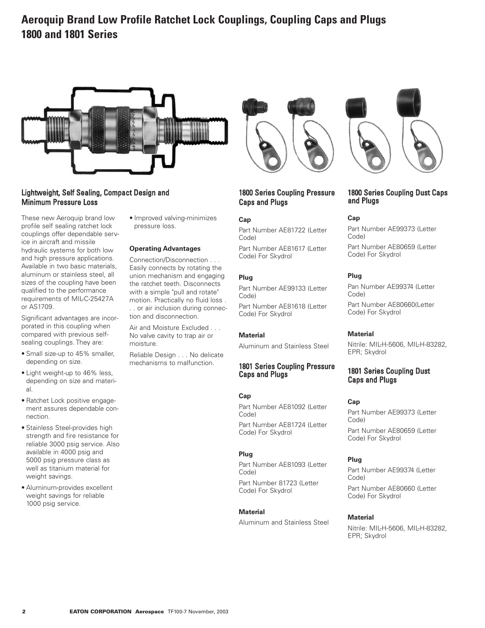# **Aeroquip Brand Low Profile Ratchet Lock Couplings, Coupling Caps and Plugs 1800 and 1801 Series**



# Lightweight, Self Sealing, Compact Design and Minimum Pressure Loss

These new Aeroquip brand low profile self sealing ratchet lock couplings offer dependable service in aircraft and missile hydraulic systems for both low and high pressure applications. Available in two basic materials, aluminum or stainless steel, all sizes of the coupling have been qualified to the performance requirements of MIL-C-25427A or AS1709.

Significant advantages are incorporated in this coupling when compared with previous selfsealing couplings. They are:

- Small size-up to 45% smaller, depending on size.
- Light weight-up to 46% less, depending on size and material.
- Ratchet Lock positive engagement assures dependable connection.
- Stainless Steel-provides high strength and fire resistance for reliable 3000 psig service. Also available in 4000 psig and 5000 psig pressure class as well as titanium material for weight savings.
- Aluminum-provides excellent weight savings for reliable 1000 psig service.

• Improved valving-minimizes pressure loss.

## **Operating Advantages**

Connection/Disconnection . . . Easily connects by rotating the union mechanism and engaging the ratchet teeth. Disconnects with a simple "pull and rotate" motion. Practically no fluid loss . . . or air inclusion during connection and disconnection.

Air and Moisture Excluded . . . No valve cavity to trap air or moisture.

Reliable Design . . . No delicate mechanisms to malfunction.



# 1800 Series Coupling Pressure Caps and Plugs

#### **Cap**

Part Number AE81722 (Letter Code) Part Number AE81617 (Letter Code) For Skydrol

#### **Plug**

Part Number AE99133 (Letter Code)

Part Number AE81618 (Letter Code) For Skydrol

### **Material**

Aluminum and Stainless Steel

### 1801 Series Coupling Pressure Caps and Plugs

## **Cap**

Part Number AE81092 (Letter Code) Part Number AE81724 (Letter Code) For Skydrol

#### **Plug**

Part Number AE81093 (Letter Code) Part Number 81723 (Letter

Code) For Skydrol

## **Material**

Aluminum and Stainless Steel



# 1800 Series Coupling Dust Caps and Plugs

### **Cap**

Part Number AE99373 (Letter Code) Part Number AE80659 (Letter Code) For Skydrol

#### **Plug**

Pan Number AE99374 (Letter Code) Part Number AE80660(Letter

Code) For Skydrol

### **Material**

Nitrile: MIL-H-5606, MIL-H-83282, EPR; Skydrol

# 1801 Series Coupling Dust Caps and Plugs

### **Cap**

Part Number AE99373 (Letter Code) Part Number AE80659 (Letter Code) For Skydrol

#### **Plug**

Part Number AE99374 (Letter Code) Part Number AE80660 (Letter Code) For Skydrol

#### **Material**

Nitrile: MIL-H-5606, MIL-H-83282, EPR; Skydrol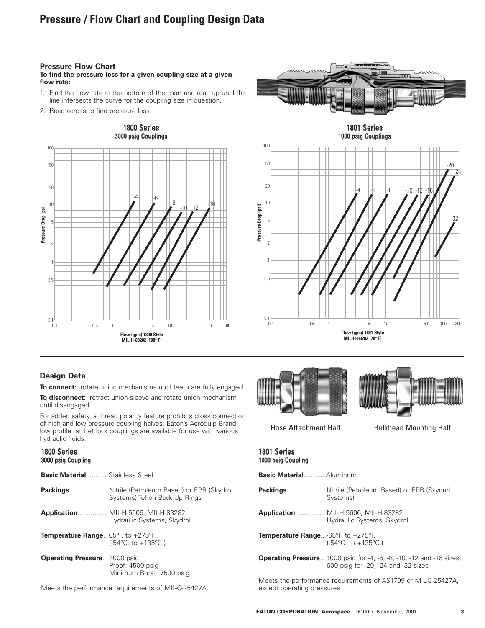# **Pressure / Flow Chart and Coupling Design Data**

# **Pressure Flow Chart**

**To find the pressure loss for a given coupling size at a given flow rate:**

- 1. Find the flow rate at the bottom of the chart and read up until the line intersects the curve for the coupling size in question.
- 2. Read across to find pressure loss.





1000 psig Couplings



# **Design Data**

**To connect:** rotate union mechanisms until teeth are fully engaged.

**To disconnect:** retract union sleeve and rotate union mechanism until disengaged.

For added safety, a thread polarity feature prohibits cross connection of high and low pressure coupling halves. Eaton's Aeroquip Brand low profile ratchet lock couplings are available for use with various hydraulic fluids.

## 1800 Series 3000 psig Coupling

| <b>Basic Material</b> Stainless Steel                         |                                                                        |
|---------------------------------------------------------------|------------------------------------------------------------------------|
|                                                               | Systems) Teflon Back-Up Rings                                          |
|                                                               | <b>Application MILH-5606, MILH-83282</b><br>Hydraulic Systems, Skydrol |
| <b>Temperature Range</b> $65^{\circ}$ F. to $+275^{\circ}$ F. | $(-54^{\circ}C, to +135^{\circ}C)$                                     |
| <b>Operating Pressure 3000 psig</b>                           | $Proof: 4500$ neig                                                     |

Proof: 4500 psig Minimum Burst: 7500 psig

Meets the performance requirements of MIL-C-25427A.





Hose Attachment Half Bulkhead Mounting Half

### 1801 Series 1000 psig Coupling

| <b>Basic Material</b> Aluminum                                                                                     |
|--------------------------------------------------------------------------------------------------------------------|
| Systems)                                                                                                           |
| <b>Application MIL-H-5606, MIL-H-83282</b><br>Hydraulic Systems, Skydrol                                           |
| <b>Temperature Range</b> -65°F. to $+275$ °F.<br>$(-54^{\circ}C, to +135^{\circ}C.)$                               |
| <b>Operating Pressure</b> 1000 psig for -4, -6, -8, -10, -12 and -16 sizes;<br>600 psig for -20, -24 and -32 sizes |
|                                                                                                                    |

Meets the performance requirements of AS1709 or MIL-C-25427A, except operating pressures.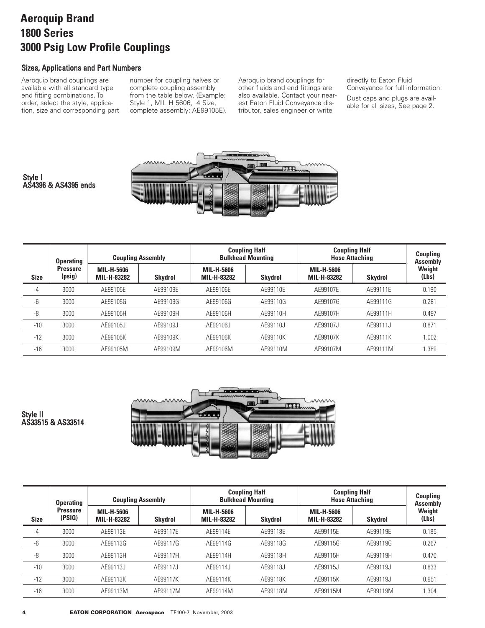# **Aeroquip Brand 1800 Series 3000 Psig Low Profile Couplings**

# Sizes, Applications and Part Numbers

Aeroquip brand couplings are available with all standard type end fitting combinations. To order, select the style, application, size and corresponding part

Style I

AS4396 & AS4395 ends

number for coupling halves or complete coupling assembly from the table below. (Example: Style 1, MIL H 5606, 4 Size, complete assembly: AE99105E). Aeroquip brand couplings for other fluids and end fittings are also available. Contact your nearest Eaton Fluid Conveyance distributor, sales engineer or write

directly to Eaton Fluid Conveyance for full information.

Dust caps and plugs are available for all sizes, See page 2.



-4 3000 AE99105E AE99109E AE99106E AE99110E AE99107E AE99111E 0.190 -6 3000 AE99105G AE99109G AE99106G AE99110G AE99107G AE99111G 0.281 -8 3000 AE99105H AE99109H AE99106H AE99110H AE99107H AE99111H 0.497 -10 3000 AE99105J AE99109J AE99106J AE99110J AE99107J AE99111J 0.871 -12 3000 AE99105K AE99109K AE99106K AE99110K AE99107K AE99111K 1.002 -16 3000 AE99105M AE99109M AE99106M AE99110M AE99107M AE99111M 1.389 Size | <sup>(psig)</sup> | MIL-H-83282 | Skydrol | MIL-H-83282 | Skydrol | MIL-H-83282 | Skydrol **Operating Pressure (psig) Coupling Assembly Weight (Lbs) Coupling Half Coupling Assembly Coupling Half Bulkhead Mounting Skydrol MIL-H-5606 MIL-H-83282 MIL-H-5606 MIL-H-83282 MIL-H-5606 MIL-H-83282**

Style II AS33515 & AS33514



|             | <b>Operating</b>          | <b>Coupling Assembly</b>         |                |                                  | <b>Coupling Half</b><br><b>Bulkhead Mounting</b> | <b>Coupling Half</b><br><b>Hose Attaching</b> | <b>Coupling</b><br><b>Assembly</b> |                 |
|-------------|---------------------------|----------------------------------|----------------|----------------------------------|--------------------------------------------------|-----------------------------------------------|------------------------------------|-----------------|
| <b>Size</b> | <b>Pressure</b><br>(PSIG) | <b>MIL-H-5606</b><br>MIL-H-83282 | <b>Skydrol</b> | <b>MIL-H-5606</b><br>MIL-H-83282 | <b>Skydrol</b>                                   | <b>MIL-H-5606</b><br>MIL-H-83282              | <b>Skydrol</b>                     | Weight<br>(Lbs) |
| $-4$        | 3000                      | AE99113E                         | AE99117E       | AE99114E                         | AE99118E                                         | AE99115E                                      | AE99119E                           | 0.185           |
| -6          | 3000                      | AE99113G                         | AE99117G       | AE99114G                         | AE99118G                                         | AE99115G                                      | AE99119G                           | 0.267           |
| -8          | 3000                      | AE99113H                         | AE99117H       | AE99114H                         | AE99118H                                         | AE99115H                                      | AE99119H                           | 0.470           |
| $-10$       | 3000                      | AE99113J                         | AE99117J       | AE99114J                         | AE99118J                                         | AE99115J                                      | AE99119J                           | 0.833           |
| $-12$       | 3000                      | AE99113K                         | AE99117K       | AE99114K                         | AE99118K                                         | AE99115K                                      | AE99119J                           | 0.951           |
| $-16$       | 3000                      | AE99113M                         | AE99117M       | AE99114M                         | AE99118M                                         | AE99115M                                      | AE99119M                           | 1.304           |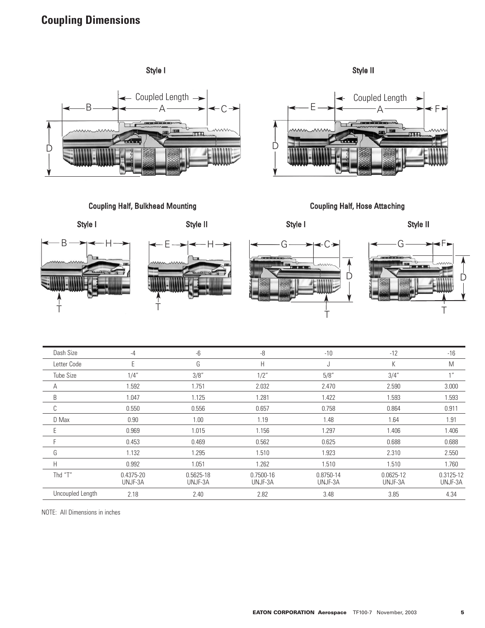# **Coupling Dimensions**







| Dash Size        | $-4$                 | -6                   | -8                   | $-10$                | $-12$                | $-16$                |
|------------------|----------------------|----------------------|----------------------|----------------------|----------------------|----------------------|
| Letter Code      | E                    | G                    | Н                    | J                    | K                    | M                    |
| <b>Tube Size</b> | 1/4"                 | 3/8"                 | 1/2"                 | 5/8''                | 3/4"                 | 1 <sup>II</sup>      |
| A                | 1.592                | 1.751                | 2.032                | 2.470                | 2.590                | 3.000                |
| B                | 1.047                | 1.125                | 1.281                | 1.422                | 1.593                | 1.593                |
| C                | 0.550                | 0.556                | 0.657                | 0.758                | 0.864                | 0.911                |
| D Max            | 0.90                 | 1.00                 | 1.19                 | 1.48                 | 1.64                 | 1.91                 |
| E                | 0.969                | 1.015                | 1.156                | 1.297                | 1.406                | 1.406                |
| F                | 0.453                | 0.469                | 0.562                | 0.625                | 0.688                | 0.688                |
| G                | 1.132                | 1.295                | 1.510                | 1.923                | 2.310                | 2.550                |
| H                | 0.992                | 1.051                | 1.262                | 1.510                | 1.510                | 1.760                |
| Thd "T"          | 0.4375-20<br>UNJF-3A | 0.5625-18<br>UNJF-3A | 0.7500-16<br>UNJF-3A | 0.8750-14<br>UNJF-3A | 0.0625-12<br>UNJF-3A | 0.3125-12<br>UNJF-3A |
| Uncoupled Length | 2.18                 | 2.40                 | 2.82                 | 3.48                 | 3.85                 | 4.34                 |

NOTE: All Dimensions in inches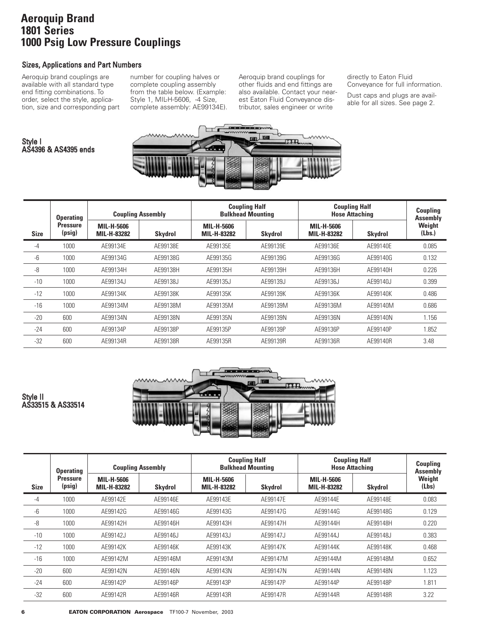# **Aeroquip Brand 1801 Series 1000 Psig Low Pressure Couplings**

# Sizes, Applications and Part Numbers

Aeroquip brand couplings are available with all standard type end fitting combinations. To order, select the style, application, size and corresponding part

AS4396 & AS4395 ends

Style I

number for coupling halves or complete coupling assembly from the table below. (Example: Style 1, MIL-H-5606, -4 Size, complete assembly: AE99134E). Aeroquip brand couplings for other fluids and end fittings are also available. Contact your nearest Eaton Fluid Conveyance distributor, sales engineer or write

directly to Eaton Fluid Conveyance for full information.

Dust caps and plugs are available for all sizes. See page 2.



|             | <b>Operating</b>          | <b>Coupling Assembly</b>         |                | <b>Coupling Half</b><br><b>Bulkhead Mounting</b> |                | <b>Coupling Half</b><br><b>Hose Attaching</b> |                | <b>Coupling</b><br><b>Assembly</b> |
|-------------|---------------------------|----------------------------------|----------------|--------------------------------------------------|----------------|-----------------------------------------------|----------------|------------------------------------|
| <b>Size</b> | <b>Pressure</b><br>(psig) | <b>MIL-H-5606</b><br>MIL-H-83282 | <b>Skydrol</b> | MIL-H-5606<br>MIL-H-83282                        | <b>Skydrol</b> | MIL-H-5606<br>MIL-H-83282                     | <b>Skydrol</b> | Weight<br>(Lbs.)                   |
| -4          | 1000                      | AE99134E                         | AE99138E       | AE99135E                                         | AE99139E       | AE99136E                                      | AE99140E       | 0.085                              |
| -6          | 1000                      | AE99134G                         | AE99138G       | AE99135G                                         | AE99139G       | AE99136G                                      | AE99140G       | 0.132                              |
| -8          | 1000                      | AE99134H                         | AE99138H       | AE99135H                                         | AE99139H       | AE99136H                                      | AE99140H       | 0.226                              |
| $-10$       | 1000                      | AE99134J                         | AE99138J       | AE99135J                                         | AE99139J       | AE99136J                                      | AE99140J       | 0.399                              |
| $-12$       | 1000                      | AE99134K                         | AE99138K       | AE99135K                                         | AE99139K       | AE99136K                                      | AE99140K       | 0.486                              |
| $-16$       | 1000                      | AE99134M                         | AE99138M       | AE99135M                                         | AE99139M       | AE99136M                                      | AE99140M       | 0.686                              |
| $-20$       | 600                       | AE99134N                         | AE99138N       | AE99135N                                         | AE99139N       | AE99136N                                      | AE99140N       | 1.156                              |
| $-24$       | 600                       | AE99134P                         | AE99138P       | AE99135P                                         | AE99139P       | AE99136P                                      | AE99140P       | 1.852                              |
| $-32$       | 600                       | AE99134R                         | AE99138R       | AE99135R                                         | AE99139R       | AE99136R                                      | AE99140R       | 3.48                               |



# Style II AS33515 & AS33514

|             | <b>Operating</b>          | <b>Coupling Assembly</b>  |                | <b>Coupling Half</b><br><b>Bulkhead Mounting</b> |                | <b>Coupling Half</b><br><b>Hose Attaching</b> |                | <b>Coupling</b><br><b>Assembly</b> |
|-------------|---------------------------|---------------------------|----------------|--------------------------------------------------|----------------|-----------------------------------------------|----------------|------------------------------------|
| <b>Size</b> | <b>Pressure</b><br>(psig) | MIL-H-5606<br>MIL-H-83282 | <b>Skydrol</b> | <b>MIL-H-5606</b><br>MIL-H-83282                 | <b>Skydrol</b> | <b>MIL-H-5606</b><br>MIL-H-83282              | <b>Skydrol</b> | Weight<br>(Lbs)                    |
| -4          | 1000                      | AE99142E                  | AE99146E       | AE99143E                                         | AE99147E       | AE99144E                                      | AE99148E       | 0.083                              |
| -6          | 1000                      | AE99142G                  | AE99146G       | AE99143G                                         | AE99147G       | AE99144G                                      | AE99148G       | 0.129                              |
| -8          | 1000                      | AE99142H                  | AE99146H       | AE99143H                                         | AE99147H       | AE99144H                                      | AE99148H       | 0.220                              |
| $-10$       | 1000                      | AE99142J                  | AE99146J       | AE99143J                                         | AE99147J       | AE99144J                                      | AE99148J       | 0.383                              |
| $-12$       | 1000                      | AE99142K                  | AE99146K       | AE99143K                                         | AE99147K       | AE99144K                                      | AE99148K       | 0.468                              |
| $-16$       | 1000                      | AE99142M                  | AE99146M       | AE99143M                                         | AE99147M       | AE99144M                                      | AE99148M       | 0.652                              |
| $-20$       | 600                       | AE99142N                  | AE99146N       | AE99143N                                         | AE99147N       | AE99144N                                      | AE99148N       | 1.123                              |
| $-24$       | 600                       | AE99142P                  | AE99146P       | AE99143P                                         | AE99147P       | AE99144P                                      | AE99148P       | 1.811                              |
| $-32$       | 600                       | AE99142R                  | AE99146R       | AE99143R                                         | AE99147R       | AE99144R                                      | AE99148R       | 3.22                               |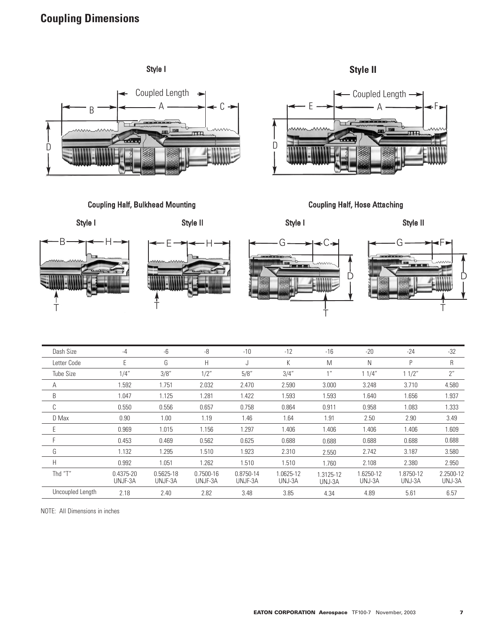# **Coupling Dimensions**





 $\Box$ r

Coupling Half, Bulkhead Mounting Coupling Half, Hose Attaching



| Dash Size        | $-4$                     | -6                   | -8                       | $-10$                | $-12$               | $-16$               | $-20$               | $-24$               | $-32$               |
|------------------|--------------------------|----------------------|--------------------------|----------------------|---------------------|---------------------|---------------------|---------------------|---------------------|
| Letter Code      | E                        | G                    | H                        | J                    | K                   | M                   | N                   | P                   | R                   |
| <b>Tube Size</b> | 1/4"                     | 3/8''                | 1/2"                     | 5/8''                | 3/4''               | 1 <sup>II</sup>     | 11/4"               | 11/2"               | 2"                  |
| А                | 1.592                    | 1.751                | 2.032                    | 2.470                | 2.590               | 3.000               | 3.248               | 3.710               | 4.580               |
| B                | 1.047                    | 1.125                | 1.281                    | 1.422                | 1.593               | 1.593               | 1.640               | 1.656               | 1.937               |
| C                | 0.550                    | 0.556                | 0.657                    | 0.758                | 0.864               | 0.911               | 0.958               | 1.083               | 1.333               |
| D Max            | 0.90                     | 1.00                 | 1.19                     | 1.46                 | 1.64                | 1.91                | 2.50                | 2.90                | 3.49                |
| Ε                | 0.969                    | 1.015                | 1.156                    | 1.297                | 1.406               | 1.406               | 1.406               | 1.406               | 1.609               |
| F                | 0.453                    | 0.469                | 0.562                    | 0.625                | 0.688               | 0.688               | 0.688               | 0.688               | 0.688               |
| G                | 1.132                    | 1.295                | 1.510                    | 1.923                | 2.310               | 2.550               | 2.742               | 3.187               | 3.580               |
| H                | 0.992                    | 1.051                | 1.262                    | 1.510                | 1.510               | 1.760               | 2.108               | 2.380               | 2.950               |
| Thd "T"          | $0.4375 - 20$<br>UNJF-3A | 0.5625-18<br>UNJF-3A | $0.7500 - 16$<br>UNJF-3A | 0.8750-14<br>UNJF-3A | 1.0625-12<br>UNJ-3A | 1.3125-12<br>UNJ-3A | 1.6250-12<br>UNJ-3A | 1.8750-12<br>UNJ-3A | 2.2500-12<br>UNJ-3A |
| Uncoupled Length | 2.18                     | 2.40                 | 2.82                     | 3.48                 | 3.85                | 4.34                | 4.89                | 5.61                | 6.57                |

NOTE: All Dimensions in inches